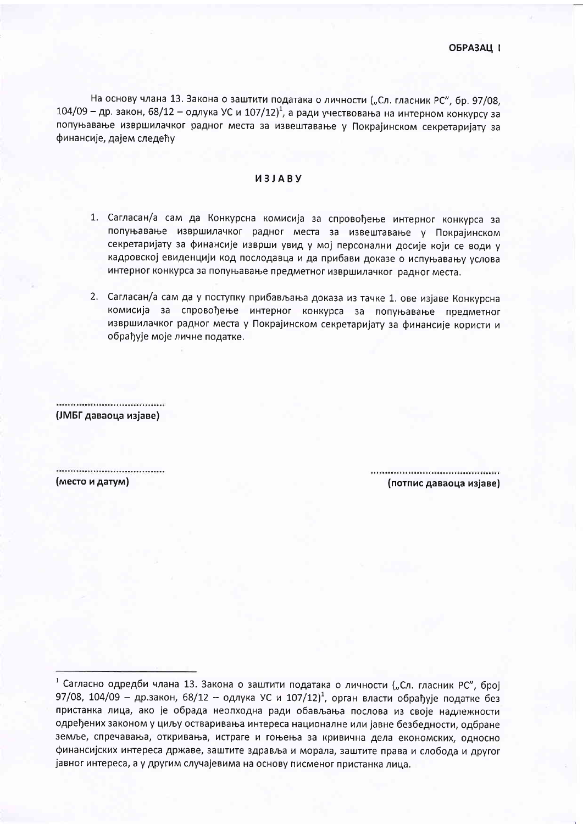На основу члана 13. Закона о заштити података о личности ("Сл. гласник РС", бр. 97/08,  $104/09$  – др. закон, 68/12 – одлука УС и 107/12)<sup>1</sup>, а ради учествовања на интерном конкурсу за попуњавање извршилачког радног места за извештавање у Покрајинском секретаријату за финансије, дајем следећу

## *UBJABY*

- 1. Сагласан/а сам да Конкурсна комисија за спровођење интерног конкурса за попуњавање извршилачког радног места за извештавање у Покрајинском секретаријату за финансије изврши увид у мој персонални досије који се води у кадровској евиденцији код послодавца и да прибави доказе о испуњавању услова интерног конкурса за попуњавање предметног извршилачког радног места.
- 2. Сагласан/а сам да у поступку прибављања доказа из тачке 1. ове изјаве Конкурсна комисија за спровођење интерног конкурса за попуњавање предметног извршилачког радног места у Покрајинском секретаријату за финансије користи и обрађује моје личне податке.

,,,,,,,,,,,,,,,,,,,,,,,,,,,,,,,, (ЈМБГ даваоца изјаве)

(место и датум)

(потпис даваоца изјаве)

<sup>1</sup> Сагласно одредби члана 13. Закона о заштити података о личности ("Сл. гласник РС", број 97/08, 104/09 - др.закон, 68/12 - одлука УС и 107/12)<sup>1</sup>, орган власти обрађује податке без пристанка лица, ако је обрада неопходна ради обављања послова из своје надлежности одређених законом у циљу остваривања интереса националне или јавне безбедности, одбране земље, спречавања, откривања, истраге и гоњења за кривична дела економских, односно финансијских интереса државе, заштите здравља и морала, заштите права и слобода и другог јавног интереса, а у другим случајевима на основу писменог пристанка лица.